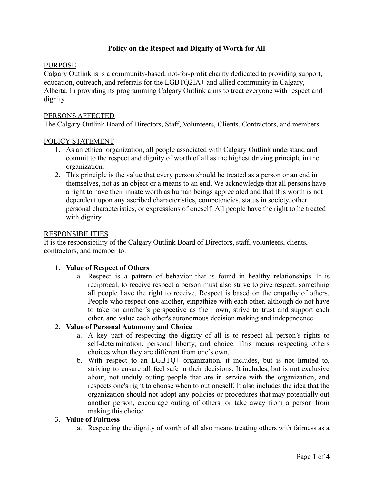## **Policy on the Respect and Dignity of Worth for All**

### PURPOSE

Calgary Outlink is is a community-based, not-for-profit charity dedicated to providing support, education, outreach, and referrals for the LGBTQ2IA+ and allied community in Calgary, Alberta. In providing its programming Calgary Outlink aims to treat everyone with respect and dignity.

### PERSONS AFFECTED

The Calgary Outlink Board of Directors, Staff, Volunteers, Clients, Contractors, and members.

### POLICY STATEMENT

- 1. As an ethical organization, all people associated with Calgary Outlink understand and commit to the respect and dignity of worth of all as the highest driving principle in the organization.
- 2. This principle is the value that every person should be treated as a person or an end in themselves, not as an object or a means to an end. We acknowledge that all persons have a right to have their innate worth as human beings appreciated and that this worth is not dependent upon any ascribed characteristics, competencies, status in society, other personal characteristics, or expressions of oneself. All people have the right to be treated with dignity.

#### RESPONSIBILITIES

It is the responsibility of the Calgary Outlink Board of Directors, staff, volunteers, clients, contractors, and member to:

### **1. Value of Respect of Others**

a. Respect is a pattern of behavior that is found in healthy relationships. It is reciprocal, to receive respect a person must also strive to give respect, something all people have the right to receive. Respect is based on the empathy of others. People who respect one another, empathize with each other, although do not have to take on another's perspective as their own, strive to trust and support each other, and value each other's autonomous decision making and independence.

## 2. **Value of Personal Autonomy and Choice**

- a. A key part of respecting the dignity of all is to respect all person's rights to self-determination, personal liberty, and choice. This means respecting others choices when they are different from one's own.
- b. With respect to an LGBTQ+ organization, it includes, but is not limited to, striving to ensure all feel safe in their decisions. It includes, but is not exclusive about, not unduly outing people that are in service with the organization, and respects one's right to choose when to out oneself. It also includes the idea that the organization should not adopt any policies or procedures that may potentially out another person, encourage outing of others, or take away from a person from making this choice.

# 3. **Value of Fairness**

a. Respecting the dignity of worth of all also means treating others with fairness as a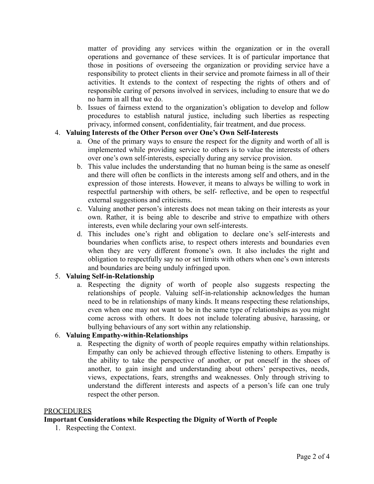matter of providing any services within the organization or in the overall operations and governance of these services. It is of particular importance that those in positions of overseeing the organization or providing service have a responsibility to protect clients in their service and promote fairness in all of their activities. It extends to the context of respecting the rights of others and of responsible caring of persons involved in services, including to ensure that we do no harm in all that we do.

b. Issues of fairness extend to the organization's obligation to develop and follow procedures to establish natural justice, including such liberties as respecting privacy, informed consent, confidentiality, fair treatment, and due process.

## 4. **Valuing Interests of the Other Person over One's Own Self-Interests**

- a. One of the primary ways to ensure the respect for the dignity and worth of all is implemented while providing service to others is to value the interests of others over one's own self-interests, especially during any service provision.
- b. This value includes the understanding that no human being is the same as oneself and there will often be conflicts in the interests among self and others, and in the expression of those interests. However, it means to always be willing to work in respectful partnership with others, be self- reflective, and be open to respectful external suggestions and criticisms.
- c. Valuing another person's interests does not mean taking on their interests as your own. Rather, it is being able to describe and strive to empathize with others interests, even while declaring your own self-interests.
- d. This includes one's right and obligation to declare one's self-interests and boundaries when conflicts arise, to respect others interests and boundaries even when they are very different fromone's own. It also includes the right and obligation to respectfully say no or set limits with others when one's own interests and boundaries are being unduly infringed upon.

# 5. **Valuing Self-in-Relationship**

a. Respecting the dignity of worth of people also suggests respecting the relationships of people. Valuing self-in-relationship acknowledges the human need to be in relationships of many kinds. It means respecting these relationships, even when one may not want to be in the same type of relationships as you might come across with others. It does not include tolerating abusive, harassing, or bullying behaviours of any sort within any relationship.

# 6. **Valuing Empathy-within-Relationships**

a. Respecting the dignity of worth of people requires empathy within relationships. Empathy can only be achieved through effective listening to others. Empathy is the ability to take the perspective of another, or put oneself in the shoes of another, to gain insight and understanding about others' perspectives, needs, views, expectations, fears, strengths and weaknesses. Only through striving to understand the different interests and aspects of a person's life can one truly respect the other person.

### PROCEDURES

### **Important Considerations while Respecting the Dignity of Worth of People**

1. Respecting the Context.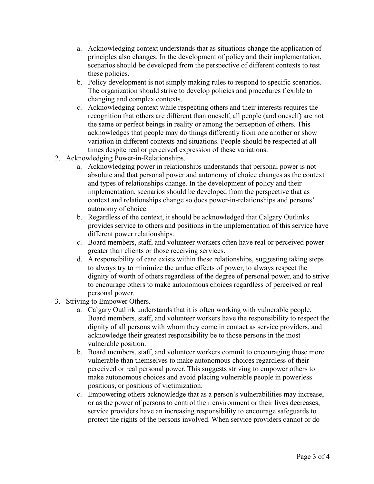- a. Acknowledging context understands that as situations change the application of principles also changes. In the development of policy and their implementation, scenarios should be developed from the perspective of different contexts to test these policies.
- b. Policy development is not simply making rules to respond to specific scenarios. The organization should strive to develop policies and procedures flexible to changing and complex contexts.
- c. Acknowledging context while respecting others and their interests requires the recognition that others are different than oneself, all people (and oneself) are not the same or perfect beings in reality or among the perception of others. This acknowledges that people may do things differently from one another or show variation in different contexts and situations. People should be respected at all times despite real or perceived expression of these variations.
- 2. Acknowledging Power-in-Relationships.
	- a. Acknowledging power in relationships understands that personal power is not absolute and that personal power and autonomy of choice changes as the context and types of relationships change. In the development of policy and their implementation, scenarios should be developed from the perspective that as context and relationships change so does power-in-relationships and persons' autonomy of choice.
	- b. Regardless of the context, it should be acknowledged that Calgary Outlinks provides service to others and positions in the implementation of this service have different power relationships.
	- c. Board members, staff, and volunteer workers often have real or perceived power greater than clients or those receiving services.
	- d. A responsibility of care exists within these relationships, suggesting taking steps to always try to minimize the undue effects of power, to always respect the dignity of worth of others regardless of the degree of personal power, and to strive to encourage others to make autonomous choices regardless of perceived or real personal power.
- 3. Striving to Empower Others.
	- a. Calgary Outlink understands that it is often working with vulnerable people. Board members, staff, and volunteer workers have the responsibility to respect the dignity of all persons with whom they come in contact as service providers, and acknowledge their greatest responsibility be to those persons in the most vulnerable position.
	- b. Board members, staff, and volunteer workers commit to encouraging those more vulnerable than themselves to make autonomous choices regardless of their perceived or real personal power. This suggests striving to empower others to make autonomous choices and avoid placing vulnerable people in powerless positions, or positions of victimization.
	- c. Empowering others acknowledge that as a person's vulnerabilities may increase, or as the power of persons to control their environment or their lives decreases, service providers have an increasing responsibility to encourage safeguards to protect the rights of the persons involved. When service providers cannot or do